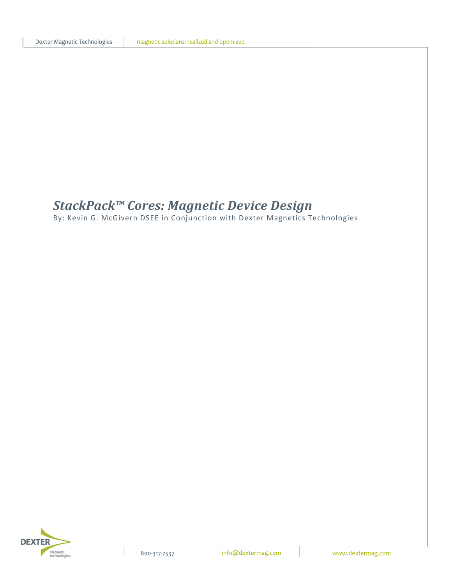# *StackPack™ Cores: Magnetic Device Design*

By: Kevin G. McGivern DSEE in Conjunction with Dexter Magnetics Technologies

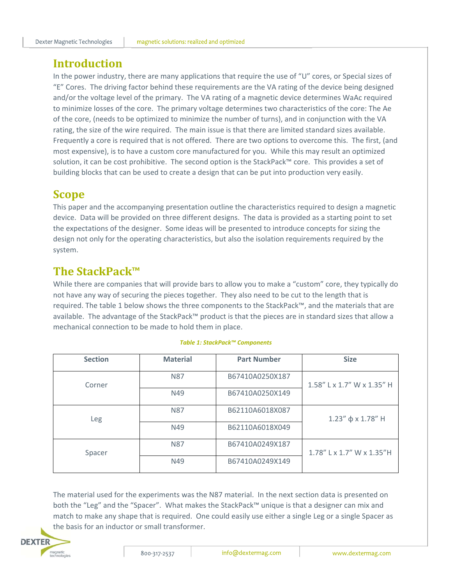## **Introduction**

In the power industry, there are many applications that require the use of "U" cores, or Special sizes of "E" Cores. The driving factor behind these requirements are the VA rating of the device being designed and/or the voltage level of the primary. The VA rating of a magnetic device determines WaAc required to minimize losses of the core. The primary voltage determines two characteristics of the core: The Ae of the core, (needs to be optimized to minimize the number of turns), and in conjunction with the VA rating, the size of the wire required. The main issue is that there are limited standard sizes available. Frequently a core is required that is not offered. There are two options to overcome this. The first, (and most expensive), is to have a custom core manufactured for you. While this may result an optimized solution, it can be cost prohibitive. The second option is the StackPack™ core. This provides a set of building blocks that can be used to create a design that can be put into production very easily.

## **Scope**

This paper and the accompanying presentation outline the characteristics required to design a magnetic device. Data will be provided on three different designs. The data is provided as a starting point to set the expectations of the designer. Some ideas will be presented to introduce concepts for sizing the design not only for the operating characteristics, but also the isolation requirements required by the system.

# **The StackPack™**

While there are companies that will provide bars to allow you to make a "custom" core, they typically do not have any way of securing the pieces together. They also need to be cut to the length that is required. The table 1 below shows the three components to the StackPack™, and the materials that are available. The advantage of the StackPack™ product is that the pieces are in standard sizes that allow a mechanical connection to be made to hold them in place.

| <b>Section</b> | <b>Material</b> | <b>Part Number</b> | <b>Size</b>                |
|----------------|-----------------|--------------------|----------------------------|
| Corner         | <b>N87</b>      | B67410A0250X187    | 1.58" L x 1.7" W x 1.35" H |
|                | N49             | B67410A0250X149    |                            |
| Leg            | N <sub>87</sub> | B62110A6018X087    | $1.23''$ ф х $1.78''$ Н    |
|                | N49             | B62110A6018X049    |                            |
| Spacer         | <b>N87</b>      | B67410A0249X187    | 1.78" L x 1.7" W x 1.35"H  |
|                | N49             | B67410A0249X149    |                            |

#### *Table 1: StackPack™ Components*

The material used for the experiments was the N87 material. In the next section data is presented on both the "Leg" and the "Spacer". What makes the StackPack™ unique is that a designer can mix and match to make any shape that is required. One could easily use either a single Leg or a single Spacer as the basis for an inductor or small transformer.

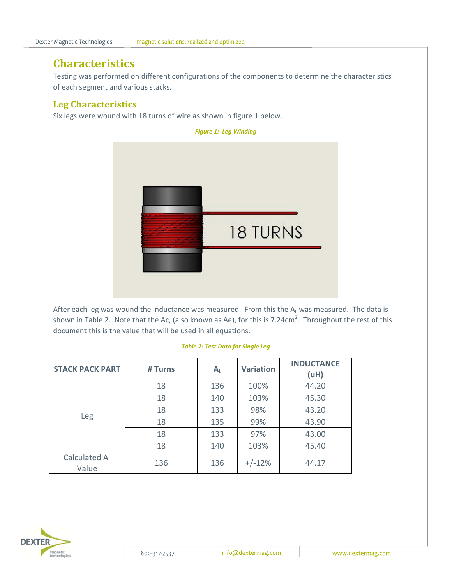# **Characteristics**

Testing was performed on different configurations of the components to determine the characteristics of each segment and various stacks.

### **Leg Characteristics**

Six legs were wound with 18 turns of wire as shown in figure 1 below.



After each leg was wound the inductance was measured From this the  $A_L$  was measured. The data is shown in Table 2. Note that the Ac, (also known as Ae), for this is 7.24cm<sup>2</sup>. Throughout the rest of this document this is the value that will be used in all equations.

| <b>STACK PACK PART</b> | # Turns | $A_{L}$ | <b>Variation</b> | <b>INDUCTANCE</b><br>(uH) |
|------------------------|---------|---------|------------------|---------------------------|
|                        | 18      | 136     | 100%             | 44.20                     |
|                        | 18      | 140     | 103%             | 45.30                     |
|                        | 18      | 133     | 98%              | 43.20                     |
| Leg                    | 18      | 135     | 99%              | 43.90                     |
|                        | 18      | 133     | 97%              | 43.00                     |
|                        | 18      | 140     | 103%             | 45.40                     |
| Calculated AL<br>Value | 136     | 136     | $+/-12%$         | 44.17                     |

#### *Table 2: Test Data for Single Leg*

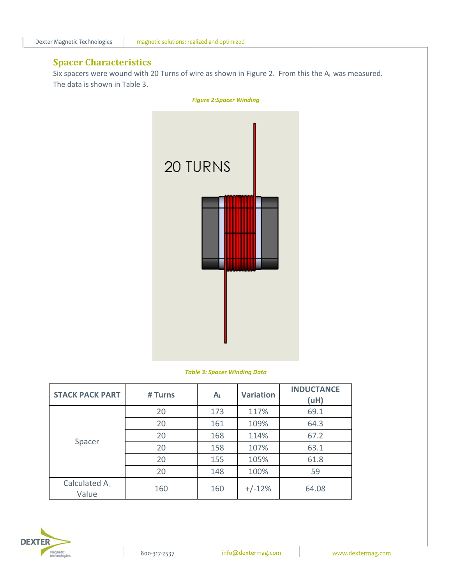### **Spacer Characteristics**

Six spacers were wound with 20 Turns of wire as shown in Figure 2. From this the  $A_L$  was measured. The data is shown in Table 3.



#### *Table 3: Spacer Winding Data*

| <b>STACK PACK PART</b> | # Turns | A <sub>L</sub> | <b>Variation</b> | <b>INDUCTANCE</b><br>(uH) |
|------------------------|---------|----------------|------------------|---------------------------|
|                        | 20      | 173            | 117%             | 69.1                      |
|                        | 20      | 161            | 109%             | 64.3                      |
|                        | 20      | 168            | 114%             | 67.2                      |
| Spacer                 | 20      | 158            | 107%             | 63.1                      |
|                        | 20      | 155            | 105%             | 61.8                      |
|                        | 20      | 148            | 100%             | 59                        |
| Calculated AL<br>Value | 160     | 160            | $+/-12%$         | 64.08                     |

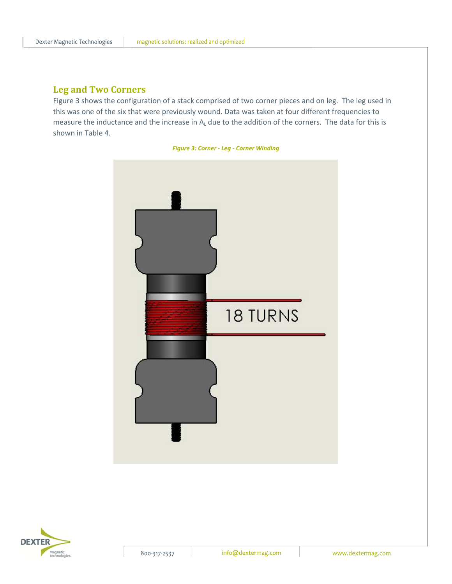#### **Leg and Two Corners**

Figure 3 shows the configuration of a stack comprised of two corner pieces and on leg. The leg used in this was one of the six that were previously wound. Data was taken at four different frequencies to measure the inductance and the increase in  $A_L$  due to the addition of the corners. The data for this is shown in Table 4.





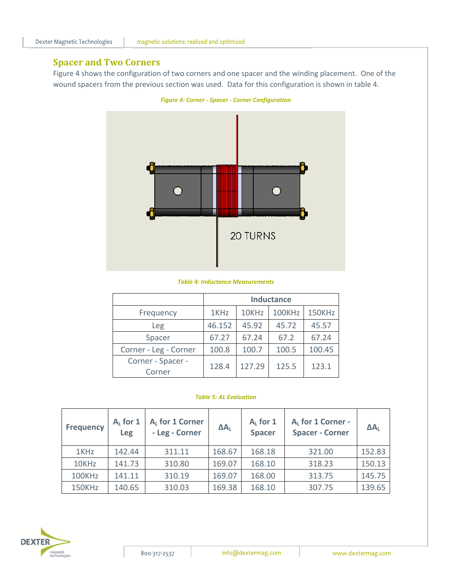### **Spacer and Two Corners**

Figure 4 shows the configuration of two corners and one spacer and the winding placement. One of the wound spacers from the previous section was used. Data for this configuration is shown in table 4.



#### *Table 4: Inductance Measurements*

|                             | <b>Inductance</b> |        |        |        |  |  |
|-----------------------------|-------------------|--------|--------|--------|--|--|
| Frequency                   | 1KHz              | 10KHz  | 100KHz | 150KHz |  |  |
| Leg                         | 46.152            | 45.92  | 45.72  | 45.57  |  |  |
| Spacer                      | 67.27             | 67.24  | 67.2   | 67.24  |  |  |
| Corner - Leg - Corner       | 100.8             | 100.7  | 100.5  | 100.45 |  |  |
| Corner - Spacer -<br>Corner | 128.4             | 127.29 | 125.5  | 123.1  |  |  |

#### *Table 5: AL Evaluation*

| <b>Frequency</b> | $AL$ for 1<br>Leg | AL for 1 Corner<br>- Leg - Corner | $\Delta A_L$ | $AL$ for 1<br><b>Spacer</b> | AL for 1 Corner -<br><b>Spacer - Corner</b> | $\Delta A_L$ |
|------------------|-------------------|-----------------------------------|--------------|-----------------------------|---------------------------------------------|--------------|
| 1KHz             | 142.44            | 311.11                            | 168.67       | 168.18                      | 321.00                                      | 152.83       |
| 10KHz            | 141.73            | 310.80                            | 169.07       | 168.10                      | 318.23                                      | 150.13       |
| 100KHz           | 141.11            | 310.19                            | 169.07       | 168.00                      | 313.75                                      | 145.75       |
| 150KHz           | 140.65            | 310.03                            | 169.38       | 168.10                      | 307.75                                      | 139.65       |

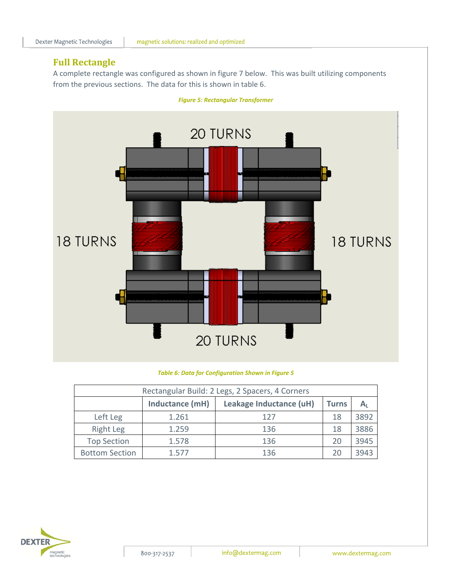### **Full Rectangle**

A complete rectangle was configured as shown in figure 7 below. This was built utilizing components from the previous sections. The data for this is shown in table 6.



*Figure 5: Rectangular Transformer*

#### *Table 6: Data for Configuration Shown in Figure 5*

| Rectangular Build: 2 Legs, 2 Spacers, 4 Corners                       |       |     |    |      |  |  |
|-----------------------------------------------------------------------|-------|-----|----|------|--|--|
| Inductance (mH)<br>Leakage Inductance (uH)<br><b>Turns</b><br>$A_{L}$ |       |     |    |      |  |  |
| Left Leg                                                              | 1.261 | 127 | 18 | 3892 |  |  |
| <b>Right Leg</b>                                                      | 1.259 | 136 | 18 | 3886 |  |  |
| <b>Top Section</b>                                                    | 1.578 | 136 | 20 | 3945 |  |  |
| <b>Bottom Section</b>                                                 | 1.577 | 136 | 20 | 3943 |  |  |

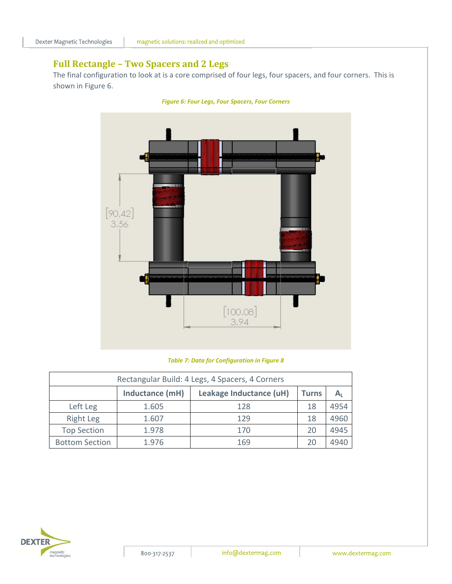### **Full Rectangle – Two Spacers and 2 Legs**

The final configuration to look at is a core comprised of four legs, four spacers, and four corners. This is shown in Figure 6.



*Figure 6: Four Legs, Four Spacers, Four Corners*

#### *Table 7: Data for Configuration in Figure 8*

| Rectangular Build: 4 Legs, 4 Spacers, 4 Corners |                                                                       |     |    |      |  |  |  |
|-------------------------------------------------|-----------------------------------------------------------------------|-----|----|------|--|--|--|
|                                                 | Inductance (mH)<br>Leakage Inductance (uH)<br><b>Turns</b><br>$A_{L}$ |     |    |      |  |  |  |
| Left Leg                                        | 1.605                                                                 | 128 | 18 | 4954 |  |  |  |
| Right Leg                                       | 1.607                                                                 | 129 | 18 | 4960 |  |  |  |
| <b>Top Section</b>                              | 1.978                                                                 | 170 | 20 | 4945 |  |  |  |
| <b>Bottom Section</b>                           | 1.976                                                                 | 169 | 20 | 494C |  |  |  |

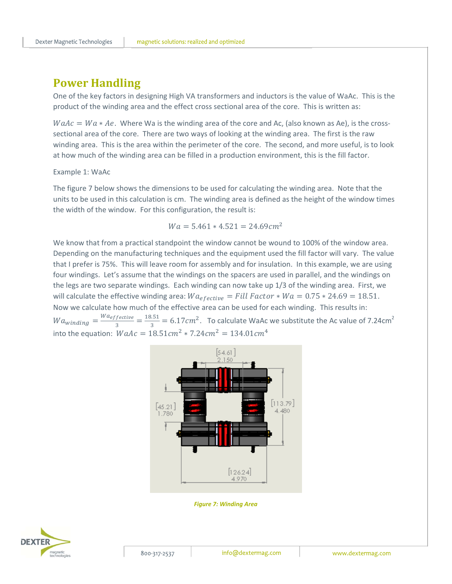## **Power Handling**

One of the key factors in designing High VA transformers and inductors is the value of WaAc. This is the product of the winding area and the effect cross sectional area of the core. This is written as:

 $WaAc = Wa * Ae$ . Where Wa is the winding area of the core and Ac, (also known as Ae), is the crosssectional area of the core. There are two ways of looking at the winding area. The first is the raw winding area. This is the area within the perimeter of the core. The second, and more useful, is to look at how much of the winding area can be filled in a production environment, this is the fill factor.

#### Example 1: WaAc

The figure 7 below shows the dimensions to be used for calculating the winding area. Note that the units to be used in this calculation is cm. The winding area is defined as the height of the window times the width of the window. For this configuration, the result is:

$$
Wa = 5.461 * 4.521 = 24.69 cm^2
$$

We know that from a practical standpoint the window cannot be wound to 100% of the window area. Depending on the manufacturing techniques and the equipment used the fill factor will vary. The value that I prefer is 75%. This will leave room for assembly and for insulation. In this example, we are using four windings. Let's assume that the windings on the spacers are used in parallel, and the windings on the legs are two separate windings. Each winding can now take up 1/3 of the winding area. First, we will calculate the effective winding area:  $Wa_{effective} = Fill Factor * Wa = 0.75 * 24.69 = 18.51$ . Now we calculate how much of the effective area can be used for each winding. This results in:  $Wa_{winding} = \frac{Wa_{effective}}{3} = \frac{18.51}{3} = 6.17cm^2$ . To calculate WaAc we substitute the Ac value of 7.24cm<sup>2</sup> into the equation:  $WaAc = 18.51cm^2 * 7.24cm^2 = 134.01cm^4$ 



*Figure 7: Winding Area*

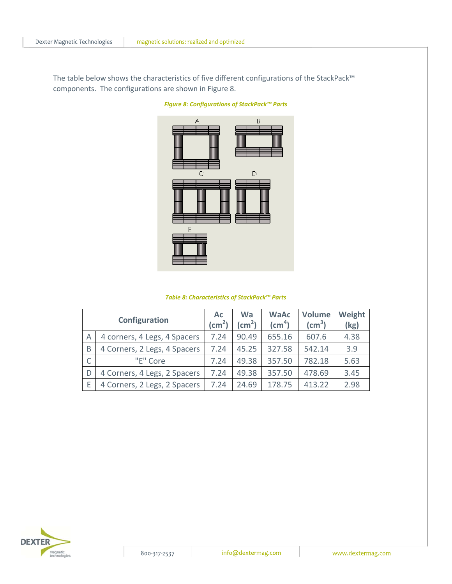magnetic solutions: realized and optimized

The table below shows the characteristics of five different configurations of the StackPack™ components. The configurations are shown in Figure 8.



*Figure 8: Configurations of StackPack™ Parts*

| Table 8: Characteristics of StackPack™ Parts |  |
|----------------------------------------------|--|
|----------------------------------------------|--|

| Configuration |                              | Ac<br>$\text{(cm}^2)$ | <b>Wa</b><br>$\text{(cm}^2)$ | <b>WaAc</b><br>$\text{(cm}^4)$ | <b>Volume</b><br>$\text{(cm}^3)$ | Weight<br>(kg) |
|---------------|------------------------------|-----------------------|------------------------------|--------------------------------|----------------------------------|----------------|
| A             | 4 corners, 4 Legs, 4 Spacers | 7.24                  | 90.49                        | 655.16                         | 607.6                            | 4.38           |
| B             | 4 Corners, 2 Legs, 4 Spacers | 7.24                  | 45.25                        | 327.58                         | 542.14                           | 3.9            |
|               | "E" Core                     | 7.24                  | 49.38                        | 357.50                         | 782.18                           | 5.63           |
| D             | 4 Corners, 4 Legs, 2 Spacers | 7.24                  | 49.38                        | 357.50                         | 478.69                           | 3.45           |
| F             | 4 Corners, 2 Legs, 2 Spacers | 7.24                  | 24.69                        | 178.75                         | 413.22                           | 2.98           |